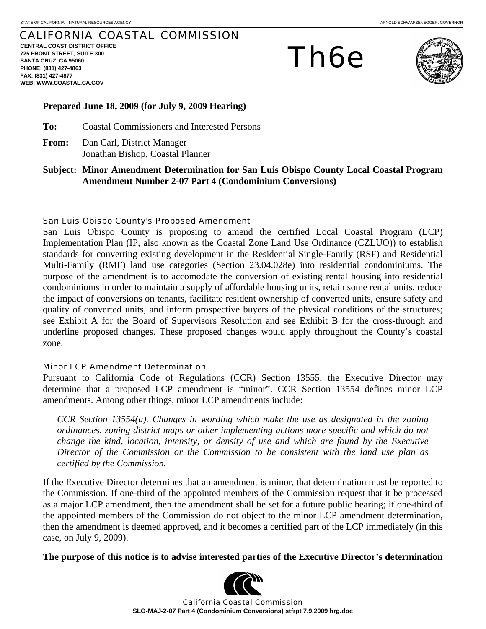## CALIFORNIA COASTAL COMMISSION

**CENTRAL COAST DISTRICT OFFICE 725 FRONT STREET, SUITE 300 SANTA CRUZ, CA 95060 PHONE: (831) 427-4863 FAX: (831) 427-4877 WEB: WWW.COASTAL.CA.GOV**

Th6e



## **Prepared June 18, 2009 (for July 9, 2009 Hearing)**

**To:** Coastal Commissioners and Interested Persons

- **From:** Dan Carl, District Manager Jonathan Bishop, Coastal Planner
- **Subject: Minor Amendment Determination for San Luis Obispo County Local Coastal Program Amendment Number 2-07 Part 4 (Condominium Conversions)**

## San Luis Obispo County's Proposed Amendment

San Luis Obispo County is proposing to amend the certified Local Coastal Program (LCP) Implementation Plan (IP, also known as the Coastal Zone Land Use Ordinance (CZLUO)) to establish standards for converting existing development in the Residential Single-Family (RSF) and Residential Multi-Family (RMF) land use categories (Section 23.04.028e) into residential condominiums. The purpose of the amendment is to accomodate the conversion of existing rental housing into residential condominiums in order to maintain a supply of affordable housing units, retain some rental units, reduce the impact of conversions on tenants, facilitate resident ownership of converted units, ensure safety and quality of converted units, and inform prospective buyers of the physical conditions of the structures; see Exhibit A for the Board of Supervisors Resolution and see Exhibit B for the cross-through and underline proposed changes. These proposed changes would apply throughout the County's coastal zone.

## Minor LCP Amendment Determination

Pursuant to California Code of Regulations (CCR) Section 13555, the Executive Director may determine that a proposed LCP amendment is "minor". CCR Section 13554 defines minor LCP amendments. Among other things, minor LCP amendments include:

*CCR Section 13554(a). Changes in wording which make the use as designated in the zoning ordinances, zoning district maps or other implementing actions more specific and which do not change the kind, location, intensity, or density of use and which are found by the Executive Director of the Commission or the Commission to be consistent with the land use plan as certified by the Commission.* 

If the Executive Director determines that an amendment is minor, that determination must be reported to the Commission. If one-third of the appointed members of the Commission request that it be processed as a major LCP amendment, then the amendment shall be set for a future public hearing; if one-third of the appointed members of the Commission do not object to the minor LCP amendment determination, then the amendment is deemed approved, and it becomes a certified part of the LCP immediately (in this case, on July 9, 2009).

**The purpose of this notice is to advise interested parties of the Executive Director's determination** 



California Coastal Commission **SLO-MAJ-2-07 Part 4 (Condominium Conversions) stfrpt 7.9.2009 hrg.doc**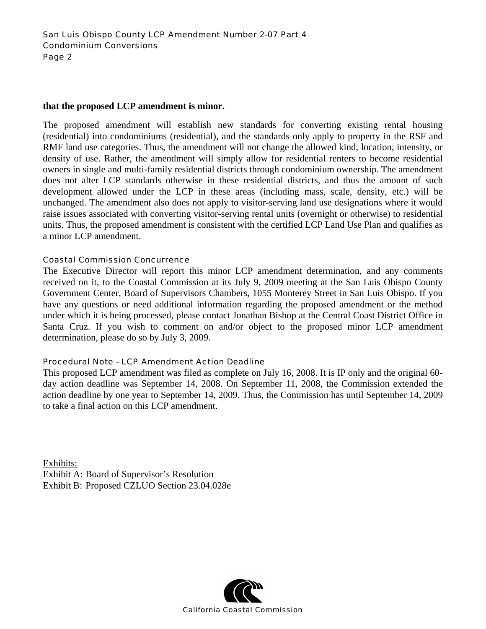## **that the proposed LCP amendment is minor.**

The proposed amendment will establish new standards for converting existing rental housing (residential) into condominiums (residential), and the standards only apply to property in the RSF and RMF land use categories. Thus, the amendment will not change the allowed kind, location, intensity, or density of use. Rather, the amendment will simply allow for residential renters to become residential owners in single and multi-family residential districts through condominium ownership. The amendment does not alter LCP standards otherwise in these residential districts, and thus the amount of such development allowed under the LCP in these areas (including mass, scale, density, etc.) will be unchanged. The amendment also does not apply to visitor-serving land use designations where it would raise issues associated with converting visitor-serving rental units (overnight or otherwise) to residential units. Thus, the proposed amendment is consistent with the certified LCP Land Use Plan and qualifies as a minor LCP amendment.

## Coastal Commission Concurrence

The Executive Director will report this minor LCP amendment determination, and any comments received on it, to the Coastal Commission at its July 9, 2009 meeting at the San Luis Obispo County Government Center, Board of Supervisors Chambers, 1055 Monterey Street in San Luis Obispo. If you have any questions or need additional information regarding the proposed amendment or the method under which it is being processed, please contact Jonathan Bishop at the Central Coast District Office in Santa Cruz. If you wish to comment on and/or object to the proposed minor LCP amendment determination, please do so by July 3, 2009.

## Procedural Note - LCP Amendment Action Deadline

This proposed LCP amendment was filed as complete on July 16, 2008. It is IP only and the original 60 day action deadline was September 14, 2008. On September 11, 2008, the Commission extended the action deadline by one year to September 14, 2009. Thus, the Commission has until September 14, 2009 to take a final action on this LCP amendment.

Exhibits: Exhibit A: Board of Supervisor's Resolution Exhibit B: Proposed CZLUO Section 23.04.028e

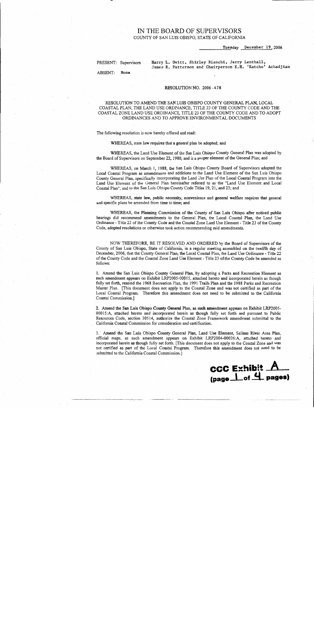# IN THE BOARD OF SUPERVISORS

COUNTY OF SAN LUIS OBISPO, STATE OF CALIFORNIA

Tuesday December 19, 2006

PRESENT: Supervisors

Harry L. Ovitt, Shirley Bianchi, Jerry Lenthall, James R. Patterson and Chairperson K.H. 'Katcho' Achadjian

**ABSENT:** None

#### RESOLUTION NO. 2006 - 478

#### RESOLUTION TO AMEND THE SAN LUIS OBISPO COUNTY GENERAL PLAN, LOCAL COASTAL PLAN, THE LAND USE ORDINANCE, TITLE 22 OF THE COUNTY CODE AND THE COASTAL ZONE LAND USE ORDINANCE, TITLE 23 OF THE COUNTY CODE AND TO ADOPT ORDINANCES AND TO APPROVE ENVIRONMENTAL DOCUMENTS

The following resolution is now hereby offered and read:

WHEREAS, state law requires that a general plan be adopted; and

WHEREAS, the Land Use Element of the San Luis Obispo County General Plan was adopted by the Board of Supervisors on September 22, 1980, and is a proper element of the General Plan; and

WHEREAS, on March 1, 1988, the San Luis Obispo County Board of Supervisors adopted the Local Coastal Program as amendments and additions to the Land Use Element of the San Luis Obispo County General Plan, specifically incorporating the Land Use Plan of the Local Coastal Program into the Land Use Element of the General Plan hereinafter referred to as the "Land Use Element and Local Coastal Plan", and to the San Luis Obispo County Code Titles 19, 21, and 23; and

WHEREAS, state law, public necessity, convenience and general welfare requires that general and specific plans be amended from time to time; and

WHEREAS, the Planning Commission of the County of San Luis Obispo after noticed public hearings did recommend amendments to the General Plan, the Local Coastal Plan, the Land Use Ordinance - Title 22 of the County Code and the Coastal Zone Land Use Element - Title 23 of the County Code, adopted resolutions or otherwise took action recommending said amendments.

NOW THEREFORE, BE IT RESOLVED AND ORDERED by the Board of Supervisors of the County of San Luis Obispo, State of California, in a regular meeting assembled on the twelfth day of December, 2006, that the County General Plan, the Local Coastal Plan, the Land Use Ordinance - Title 22 of the County Code and the Coastal Zone Land Use Element - Title 23 of the County Code be amended as follows:

1. Amend the San Luis Obispo County General Plan, by adopting a Parks and Recreation Element as such amendment appears on Exhibit LRP2005-00015, attached hereto and incorporated herein as though fully set forth, rescind the 1968 Recreation Plan, the 1991 Trails Plan and the 1988 Parks and Recreation Master Plan. [This document does not apply to the Coastal Zone and was not certified as part of the Local Coastal Program. Therefore this amendment does not need to be submitted to the California Coastal Commission.]

2. Amend the San Luis Obispo County General Plan, as such amendment appears on Exhibit LRP2005-00015:A, attached hereto and incorporated herein as though fully set forth and pursuant to Public Resources Code, section 30514, authorize the Coastal Zone Framework amendment submittal to the California Coastal Commission for consideration and certification.

3. Amend the San Luis Obispo County General Plan, Land Use Element, Salinas River Area Plan, official maps, as such amendment appears on Exhibit LRP2004-00026:A, attached hereto and incorporated herein as though fully set forth. [This document does not apply to the Coastal Zone and was not certified as part of the Local Coastal Program. Therefore this amendment does not need to be submitted to the California Coastal Commission.]

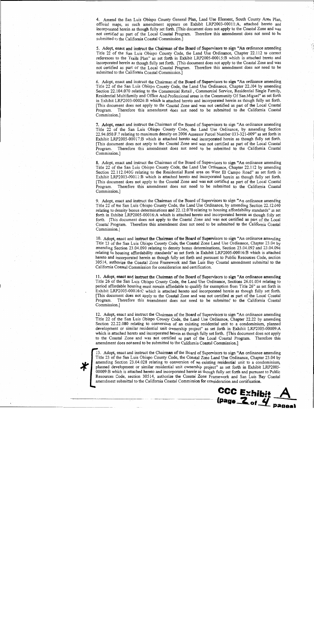4. Amend the San Luis Obispo County General Plan, Land Use Element, South County Area Plan, official maps, as such amendment appears on Exhibit LRP2003-00011:A, attached hereto and incorporated herein as though fully set forth. [This document does not apply to the Coastal Zone and was not certified as part of the Local Coastal Program. Therefore this amendment does not need to be submitted to the California Coastal Commission.]

5. Adopt, enact and instruct the Chairman of the Board of Supervisors to sign "An ordinance amending Title 22 of the San Luis Obispo County Code, the Land Use Ordinance, Chapter 22.112 to correct references to the Trails Plan" as set forth in Exhibit LRP2005-00015:B which is attached hereto and incorporated herein as though fully set forth. [This document does not apply to the Coastal Zone and was not certified as part of the Local Coastal Program. Therefore this amendment does not need to be submitted to the California Coastal Commission.]

6. Adopt, enact and instruct the Chairman of the Board of Supervisors to sign "An ordinance amending Title 22 of the San Luis Obispo County Code, the Land Use Ordinance, Chapter 22.104 by amending Section 22.104.070 relating to the Commercial Retail, Commercial Service, Residential Single Family, Residential Multifamily and Office And Professional areas in the Community Of San Miguel" as set forth in Exhibit LRP2003-00026:B which is attached hereto and incorporated herein as though fully set forth. [This document does not apply to the Coastal Zone and was not certified as part of the Local Coastal Program. Therefore this amendment does not need to be submitted to the California Coastal Commission.]

7. Adopt, enact and instruct the Chairman of the Board of Supervisors to sign "An ordinance amending Title 22 of the San Luis Obispo County Code, the Land Use Ordinance, by amending Section 22.94.050.F.7 relating to maximum density on 2006 Assessor Parcel Number 033-321-009" as set forth in Exhibit LRP2005-00017:B which is attached hereto and incorporated herein as though fully set forth. [This document does not apply to the Coastal Zone and was not certified as part of the Local Coastal Program. Therefore this amendment does not need to be submitted to the California Coastal Commission.]

8. Adopt, enact and instruct the Chairman of the Board of Supervisors to sign "An ordinance amending Title 22 of the San Luis Obispo County Code, the Land Use Ordinance, Chapter 22.112 by amending Section 22.112.040G relating to the Residential Rural area on West El Campo Road" as set forth in Exhibit LRP2003-00011:B which is attached hereto and incorporated herein as though fully set forth. [This document does not apply to the Coastal Zone and was not certified as part of the Local Coastal Program. Therefore this amendment does not need to be submitted to the California Coastal Commission.]

9. Adopt, enact and instruct the Chairman of the Board of Supervisors to sign "An ordinance amending Title 22 of the San Luis Obispo County Code, the Land Use Ordinance, by amending Section 22.12.040 relating to density bonus determinations and 22.12.070 relating to housing affordability standards" as set forth in Exhibit LRP2005-00016:A which is attached hereto and incorporated herein as though fully set forth. [This document does not apply to the Coastal Zone and was not certified as part of the Local Coastal Program. Therefore this amendment does not need to be submitted to the California Coastal Commission.]

10. Adopt, enact and instruct the Chairman of the Board of Supervisors to sign "An ordinance amending Title 23 of the San Luis Obispo County Code, the Coastal Zone Land Use Ordinance, Chapter 23.04 by amending Section 23.04.090 relating to density bonus determinations, Section 23.04.092 and 23.04.094 relating to housing affordability standards" as set forth in Exhibit LRP2005-00016:B which is attached hereto and incorporated herein as though fully set forth and pursuant to Public Resources Code, section 30514, authorize the Coastal Zone Framework and San Luis Bay Coastal amendment submittal to the California Coastal Commission for consideration and certification.

11. Adopt, enact and instruct the Chairman of the Board of Supervisors to sign "An ordinance amending Title 26 of the San Luis Obispo County Code, the Land Use Ordinance, Sections 26.01.034 relating to period affordable housing must remain affordable to qualify for exemption from Title 26" as set forth in Exhibit LRP2005-00016:C which is attached hereto and incorporated herein as though fully set forth. [This document does not apply to the Coastal Zone and was not certified as part of the Local Coastal Program. Therefore this amendment does not need to be submitted to the California Coastal Commission.]

12. Adopt, enact and instruct the Chairman of the Board of Supervisors to sign "An ordinance amending Title 22 of the San Luis Obispo County Code, the Land Use Ordinance, Chapter 22.22 by amending Section 22.22.080 relating to conversion of an existing residential unit to a condominium, planned development or similar residential unit ownership project" as set forth in Exhibit LRP2005-00009:A which is attached hereto and incorporated herein as though fully set forth. [This document does not apply to the Coastal Zone and was not certified as part of the Local Coastal Program. Therefore this amendment does not need to be submitted to the California Coastal Commission.]



13. Adopt, enact and instruct the Chairman of the Board of Supervisors to sign "An ordinance amending Title 23 of the San Luis Obispo County Code, the Coastal Zone Land Use Ordinance, Chapter 23.04 by amending Section 23.04.028 relating to conversion of an existing residential unit to a condominium, planned development or similar residential unit ownership project" as set forth in Exhibit LRP2005-00009:B which is attached hereto and incorporated herein as though fully set forth and pursuant to Public Resources Code, section 30514, authorize the Coastal Zone Framework and San Luis Bay Coastal amendment submittal to the California Coastal Commission for consideration and certification.

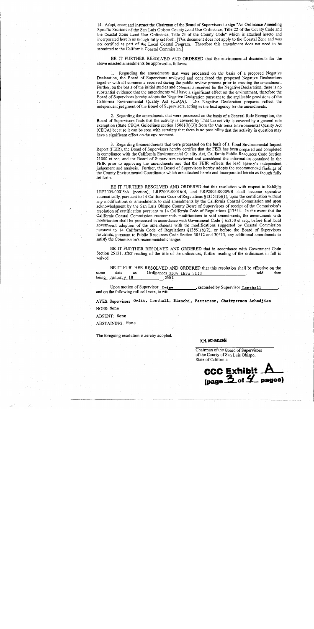14. Adopt, enact and instruct the Chairman of the Board of Supervisors to sign "An Ordinance Amending Specific Sections of the San Luis Obispo County Land Use Ordinance, Title 22 of the County Code and the Coastal Zone Land Use Ordinance, Title 23 of the County Code" which is attached hereto and incorporated herein as though fully set forth. [This document does not apply to the Coastal Zone and was not certified as part of the Local Coastal Program. Therefore this amendment does not need to be submitted to the California Coastal Commission.]

BE IT FURTHER RESOLVED AND ORDERED that the environmental documents for the above enacted amendments be approved as follows:

1. Regarding the amendments that were processed on the basis of a proposed Negative Declaration, the Board of Supervisors reviewed and considered the proposed Negative Declarations together with all comments received during the public review process prior to enacting the amendment. Further, on the basis of the initial studies and comments received for the Negative Declaration, there is no substantial evidence that the amendments will have a significant effect on the environment, therefore the Board of Supervisors hereby adopts the Negative Declaration pursuant to the applicable provisions of the California Environmental Quality Act (CEQA). The Negative Declaration prepared reflect the independent judgment of the Board of Supervisors, acting as the lead agency for the amendments.

2. Regarding the amendments that were processed on the basis of a General Rule Exemption, the Board of Supervisors finds that the activity is covered by That the activity is covered by a general rule exemption (State CEQA Guidelines section 15061(b)(3)) from the California Environmental Quality Act (CEQA) because it can be seen with certainty that there is no possibility that the activity in question may have a significant effect on the environment.

3. Regarding theamendments that were processed on the basis of a Final Environmental Impact Report (FEIR), the Board of Supervisors hereby certifies that the FEIR has been prepared and completed in compliance with the California Environmental Quality Act, California Public Resources Code Section 21000 et seq. and the Board of Supervisors reviewed and considered the information contained in the FEIR prior to approving the amendments and that the FEIR reflects the lead agency's independent judgement and analysis. Further, the Board of Supervisors hereby adopts the recommended findings of the County Environmental Coordinator which are attached hereto and incorporated herein as though fully set forth.

BE IT FURTHER RESOLVED AND ORDERED that this resolution with respect to Exhibits LRP2005-00015:A (portion), LRP2005-00016:B, and LRP2005-00009:B shall become operative automatically, pursuant to 14 California Code of Regulations  $\S 13551(b)(1)$ , upon the certification without any modifications or amendments to said amendments by the California Coastal Commission and upon acknowledgment by the San Luis Obispo County Board of Supervisors of receipt of the Commission's resolution of certification pursuant to 14 California Code of Regulations §13544. In the event that the California Coastal Commission recommends modifications to said amendments, the amendments with modification shall be processed in accordance with Government Code § 65350 et seq., before final local government adoption of the amendments with the modifications suggested by Coastal Commission pursuant to 14 California Code of Regulations §13551(b)(2), or before the Board of Supervisors resubmits, pursuant to Public Resources Code Section 30512 and 30513, any additional amendments to satisfy the Commission's recommended changes.

BE IT FURTHER RESOLVED AND ORDERED that in accordance with Government Code Section 25131, after reading of the title of the ordinances, further reading of the ordinances in full is waived.

BE IT FURTHER RESOLVED AND ORDERED that this resolution shall be effective on the same date as Ordinances 3104 thru 3113 said date being January 18 , 2007.

Upon motion of Supervisor Ovitt , seconded by Supervisor Lenthall and on the following roll call vote, to wit:

AYES: Supervisors Ovitt, Lenthall, Bianchi, Patterson, Chairperson Achadjian

NOES: None

ABSENT: None

ABSTAINING: None

The foregoing resolution is hereby adopted.

K.H. ACHADJIAN

Chairman of the Board of Supervisors of the County of San Luis Obispo. State of California

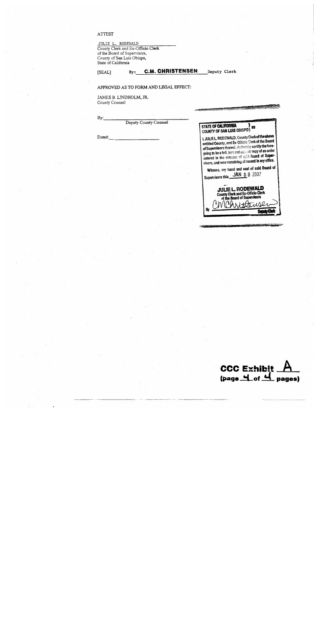#### **ATTEST**

[SEAL]

 $By:$ 

Dated:

JULIE L. RODEWALD<br>County Clerk and Ex-Officio Clerk<br>of the Board of Supervisors,<br>County of San Luis Obispo,<br>State of California

By: C.M. CHRISTENSEN

Deputy Clerk

araania

#### APPROVED AS TO FORM AND LEGAL EFFECT:

JAMES B. LINDHOLM, JR. County Counsel

| Deputy County Counsel | STATE OF CALIFORNIA<br>会议<br>COUNTY OF SAN LUIS OBISPO)                                                                                                                                                                                                                                                                    |
|-----------------------|----------------------------------------------------------------------------------------------------------------------------------------------------------------------------------------------------------------------------------------------------------------------------------------------------------------------------|
|                       | i, JULIEL. RODEWALD, County Clerk of the above<br>entitled County, and Ex-Officic Clerk of the Board<br>of Supervisors thereof, do bereby certify the fore-<br>going to be a full, true and conset copy of an order<br>entered in the minutes of said Board of Super-<br>visors, and now remaining of racord in my office. |
|                       | Witness, my hand and seal of said Board of<br>Supervisors this JAN 0 8 2007                                                                                                                                                                                                                                                |
|                       | <b>JULIE L. RODEWALD</b><br>County Clerk and Ex-Officio Clerk<br>of the Board of Supervisors                                                                                                                                                                                                                               |
|                       | э                                                                                                                                                                                                                                                                                                                          |

**TACABATA** 

CCC Exhibit  $A$ <br>(page  $A$  of  $A$  pages)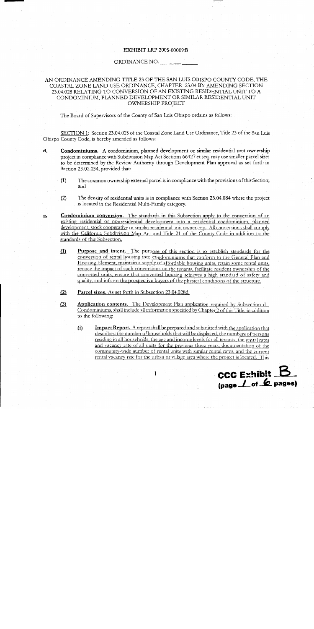#### **EXHIBIT LRP 2005-00009:B**

#### ORDINANCE NO.

### AN ORDINANCE AMENDING TITLE 23 OF THE SAN LUIS OBISPO COUNTY CODE, THE COASTAL ZONE LAND USE ORDINANCE, CHAPTER 23.04 BY AMENDING SECTION 23.04.028 RELATING TO CONVERSION OF AN EXISTING RESIDENTIAL UNIT TO A CONDOMINIUM, PLANNED DEVELOPMENT OR SIMILAR RESIDENTIAL UNIT OWNERSHIP PROJECT

The Board of Supervisors of the County of San Luis Obispo ordains as follows:

SECTION 1: Section 23.04.028 of the Coastal Zone Land Use Ordinance, Title 23 of the San Luis Obispo County Code, is hereby amended as follows:

- d. Condominiums. A condominium, planned development or similar residential unit ownership project in compliance with Subdivision Map Act Sections 66427 et seq. may use smaller parcel sizes to be determined by the Review Authority through Development Plan approval as set forth in Section 23.02.034, provided that:
	- The common ownership external parcel is in compliance with the provisions of this Section;  $(1)$ and
	- The density of residential units is in compliance with Section 23.04.084 where the project  $(2)$ is located in the Residential Multi-Family category.
- Condominium conversion. The standards in this Subsection apply to the conversion of an e. existing residential or nonresidential development into a residential condominium, planned development, stock cooperative or similar residential unit ownership. All conversions shall comply with the California Subdivision Map Act and Title 21 of the County Code in addition to the standards of this Subsection.
	- $(1)$ **Purpose and intent.** The purpose of this section is to establish standards for the conversion of rental housing into condominiums that conform to the General Plan and Housing Element, maintain a supply of affordable housing units, retain some rental units, reduce the impact of such conversions on the tenants, facilitate resident ownership of the converted units, ensure that converted housing achieves a high standard of safety and quality, and inform the prospective buyers of the physical conditions of the structure.
	- $(2)$ Parcel sizes. As set forth in Subsection 23.04.028d.
	- **Application contents.** The Development Plan application required by Subsection d - $(3)$ Condominiums, shall include all information specified by Chapter 2 of this Title, in addition to the following:

 $\mathbf{I}$ 

 $(i)$ Impact Report. A report shall be prepared and submitted with the application that describes: the number of households that will be displaced, the numbers of persons residing in all households, the age and income levels for all tenants, the rental rates and vacancy rate of all units for the previous three years, documentation of the community-wide number of rental units with similar rental rates, and the current rental vacancy rate for the urban or village area where the project is located. This

 $\csc$  Exhibit  $\mathbf B$ (page 1 of 6 pages)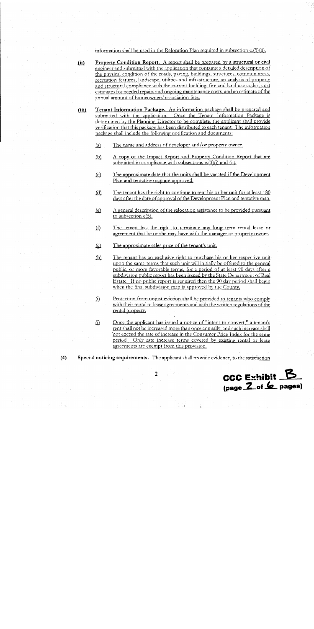information shall be used in the Relocation Plan required in subsection  $e(5)(ii)$ .

- Property Condition Report. A report shall be prepared by a structural or civil  $(i)$ engineer and submitted with the application that contains: a detailed description of the physical condition of the roads, paving, buildings, structures, common areas, recreation features, landscape, utilities and infrastructure, an analysis of property and structural compliance with the current building, fire and land use codes, cost estimates for needed repairs and ongoing maintenance costs, and an estimate of the annual amount of homeowners' association fees.
- $(iii)$ Tenant Information Package. An information package shall be prepared and submitted with the application. Once the Tenant Information Package is determined by the Planning Director to be complete, the applicant shall provide verification that this package has been distributed to each tenant. The information package shall include the following notification and documents:
	- The name and address of developer and/or property owner.  $\langle a \rangle$
	- A copy of the Impact Report and Property Condition Report that are  $\overline{\omega}$ submitted in compliance with subsections  $e(3)(i)$  and (ii).
	- The approximate date that the units shall be vacated if the Development  $\overline{c}$ Plan and tentative map are approved.
	- $(d)$ The tenant has the right to continue to rent his or her unit for at least 180 days after the date of approval of the Development Plan and tentative map.
	- A general description of the relocation assistance to be provided pursuant  $(e)$ to subsection  $e(5)$ .
	- The tenant has the right to terminate any long term rental lease or  $\Omega$ agreement that he or she may have with the manager or property owner.
	- The approximate sales price of the tenant's unit. টো
	- $(h)$ The tenant has an exclusive right to purchase his or her respective unit upon the same terms that such unit will initially be offered to the general public, or more favorable terms, for a period of at least 90 days after a subdivision public report has been issued by the State Department of Real Estate. If no public report is required then the 90 day period shall begin when the final subdivision map is approved by the County.
	- $\Omega$ Protection from unjust eviction shall be provided to tenants who comply with their rental or lease agreements and with the written regulations of the rental property.
	- $\Omega$ Once the applicant has issued a notice of "intent to convert," a tenant's rent shall not be increased more than once annually, and such increase shall not exceed the rate of increase in the Consumer Price Index for the same period. Only rate increase terms covered by existing rental or lease agreements are exempt from this provision.
- Special noticing requirements. The applicant shall provide evidence, to the satisfaction  $(4)$



 $\overline{2}$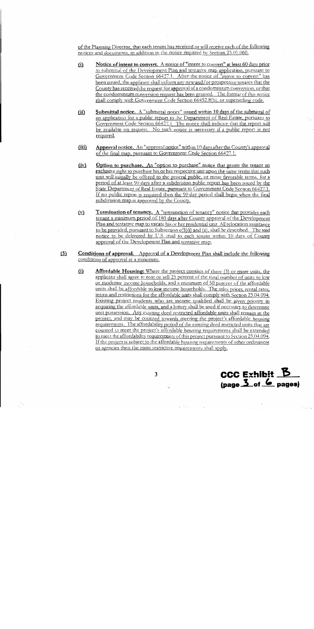of the Planning Director, that each tenant has received or will receive each of the following notices and documents, in addition to the notice required by Section 23.01.060.

- Notice of intent to convert. A notice of "intent to convert" at least 60 days prior  $(i)$ to submittal of the Development Plan and tentative map application, pursuant to Government Code Section 66427.1. After the notice of "intent to convert" has been issued, the applicant shall inform any new and/or prospective tenants that the County has received the request for approval of a condominium conversion, or that the condominium conversion request has been granted. The format of this notice shall comply with Government Code Section 66452.8(b), or superseding code.
- $(ii)$ Submittal notice. A "submittal notice" issued within 10 days of the submittal of an application for a public report to the Department of Real Estate, pursuant to Government Code Section 66427.1. The notice shall indicate that the report will be available on request. No such notice is necessary if a public report is not required.
- Approval notice. An "approval notice" within 10 days after the County's approval  $(iii)$ of the final map, pursuant to Government Code Section 66427.1.
- $(iv)$ Option to purchase. An "option to purchase" notice that grants the tenant an exclusive right to purchase his or her respective unit upon the same terms that such unit will initially be offered to the general public, or more favorable terms, for a period of at least 90 days after a subdivision public report has been issued by the State Department of Real Estate, pursuant to Government Code Section 66427.1. If no public report is required then the 90 day period shall begin when the final subdivision map is approved by the County.
- $(y)$ Termination of tenancy. A "termination of tenancy" notice that provides each tenant a minimum period of 180 days after County approval of the Development Plan and tentative map to vacate his or her residential unit All relocation assistance to be provided, pursuant to Subsection e(5)(i) and (ii), shall be described. The said notice to be delivered by U.S. mail to each tenant within 10 days of County approval of the Development Plan and tentative map.
- $(5)$ **Conditions of approval.** Approval of a Development Plan shall include the following conditions of approval at a minimum.
	- $(i)$ Affordable Housing: Where the project consists of three (3) or more units, the applicant shall agree to rent or sell 25 percent of the total number of units to low or moderate income households, and a minimum of 50 percent of the affordable units shall be affordable to low income households. The sales prices, rental rates, terms and restrictions for the affordable units shall comply with Section 23.04.094. Existing project residents who are income qualified shall be given priority in acquiring the affordable units, and a lottery shall be used if necessary to determine unit possession. Any existing deed restricted affordable units shall remain in the project, and may be counted towards meeting the project's affordable housing requirements. The affordability period of the existing deed restricted units that are counted to meet the project's affordable housing requirements shall be extended to meet the affordability requirements of this project pursuant to Section 23.04.094. If the project is subject to the affordable housing requirements of other ordinances or agencies then the most restrictive requirements shall apply.

CCC Exhibit  $\underline{\mathbf{B}}$  $(\text{page 3}_{\text{of}} \quad \text{6}_{\text{pages}})$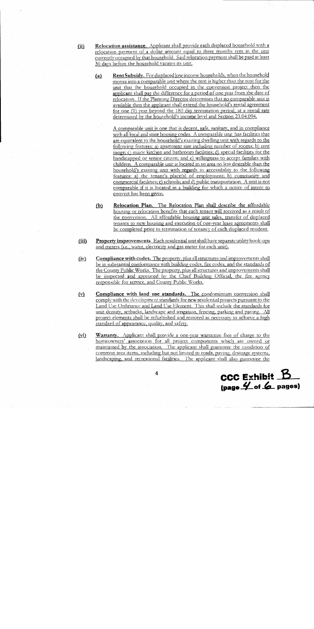- Relocation assistance. Applicant shall provide each displaced household with a  $(ii)$ relocation payment of a dollar amount equal to three months rent in the unit currently occupied by that household. Said relocation payment shall be paid at least 30 days before the household vacates its unit.
	- Rent Subsidy. For displaced low income households, when the household  $(a)$ moves into a comparable unit where the rent is higher than the rent for the unit that the household occupied in the conversion project then the applicant shall pay the difference for a period of one year from the date of relocation. If the Planning Director determines that no comparable unit is available then the applicant shall extend the household's rental agreement for one (1) year beyond the 180 day termination period, at a rental rate determined by the household's income level and Section 23.04.094.

A comparable unit is one that is decent, safe, sanitary, and in compliance with all local and state housing codes. A comparable unit has facilities that are equivalent to the household's existing dwelling unit with regards to the following features: a) apartment size including number of rooms; b) rent range; c) major kitchen and bathroom facilities; d) special facilities for the handicapped or senior citizen; and e) willingness to accept families with children. A comparable unit is located in an area no less desirable than the household's existing unit with regards to accessibility to the following features: a) the tenant's place(s) of employment; b) community and commercial facilities; c) schools; and d) public transportation. A unit is not comparable if it is located in a building for which a notice of intent to convert has been given.

- Relocation Plan. The Relocation Plan shall describe the affordable  $(b)$ housing or relocation benefits that each tenant will received as a result of the conversion. All affordable housing unit sales, transfer of displaced tenants to new housing and execution of one-year lease agreements shall be completed prior to termination of tenancy of each displaced resident.
- $(iii)$ Property improvements. Each residential unit shall have separate utility hook-ups and meters (i.e., water, electricity and gas meter for each unit).
- $(iv)$ Compliance with codes. The property, plus all structures and improvements shall be in substantial conformance with building codes, fire codes, and the standards of the County Public Works. The property, plus all structures and improvements shall be inspected and approved by the Chief Building Official, the fire agency responsible for service, and County Public Works.
- $(y)$ Compliance with land use standards. The condominium conversion shall comply with the development standards for new residential projects pursuant to the Land Use Ordinance and Land Use Element. This shall include the standards for unit density, setbacks, landscape and irrigation, fencing, parking and paving. All project elements shall be refurbished and restored as necessary to achieve a high standard of appearance, quality, and safety.
- Warranty. Applicant shall provide a one-year warrantee free of charge to the  $(vi)$ homeowners' association for all project components which are owned or maintained by the association. The applicant shall guarantee the condition of common area items, including but not limited to roads, paving, drainage systems, landscaping, and recreational facilities. The applicant shall also guarantee the

 $\csc$  Exhibit  $\mathbf{\mathbf{\mathbf{\mathbf{B}}}}$  $(\text{page 4 of 6 pages})$ 

 $\overline{\mathbf{4}}$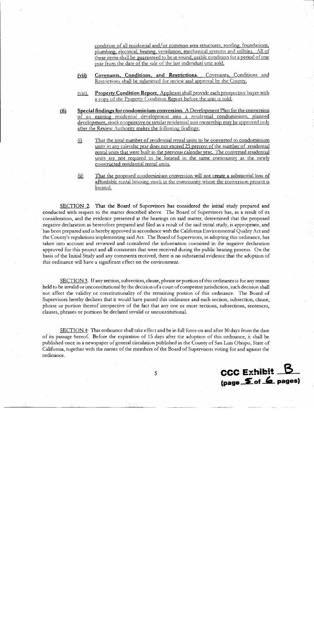condition of all residential and/or common area structures, roofing, foundations, plumbing, electrical, heating, ventilation, mechanical systems and utilities. All of these items shall be guaranteed to be in sound, usable condition for a period of one year from the date of the sale of the last individual unit sold.

- $(vii)$ Covenants, Conditions, and Restrictions. Covenants, Conditions and Restrictions shall be submitted for review and approval by the County.
- Property Condition Report. Applicant shall provide each prospective buyer with  $(viii)$ . a copy of the Property Condition Report before the unit is sold.
- Special findings for condominium conversion. A Development Plan for the conversion  $\underline{(6)}$ of an existing residential development into a residential condominium, planned development, stock cooperative or similar residential unit ownership may be approved only after the Review Authority makes the following findings:
	- That the total number of residential rental units to be converted to condominium  $\Omega$ units in any calendar year does not exceed 25 percent of the number of residential rental units that were built in the previous calendar year. The converted residential units are not required to be located in the same community as the newly constructed residential rental units.
	- ⑪ That the proposed condominium conversion will not create a substantial loss of affordable rental housing stock in the community where the conversion project is located.

SECTION 2. That the Board of Supervisors has considered the initial study prepared and conducted with respect to the matter described above. The Board of Supervisors has, as a result of its consideration, and the evidence presented at the hearings on said matter, determined that the proposed negative declaration as heretofore prepared and filed as a result of the said initial study, is appropriate, and has been prepared and is hereby approved in accordance with the California Environmental Quality Act and the County's regulations implementing said Act. The Board of Supervisors, in adopting this ordinance, has taken into account and reviewed and considered the information contained in the negative declaration approved for this project and all comments that were received during the public hearing process. On the basis of the Initial Study and any comments received, there is no substantial evidence that the adoption of this ordinance will have a significant effect on the environment.

SECTION 3. If any section, subsection, clause, phrase or portion of this ordinance is for any reason held to be invalid or unconstitutional by the decision of a court of competent jurisdiction, such decision shall not affect the validity or constitutionality of the remaining portion of this ordinance. The Board of Supervisors hereby declares that it would have passed this ordinance and each section, subsection, clause, phrase or portion thereof irrespective of the fact that any one or more sections, subsections, sentences, clauses, phrases or portions be declared invalid or unconstitutional.

SECTION 4: This ordinance shall take effect and be in full force on and after 30 days from the date of its passage hereof. Before the expiration of 15 days after the adoption of this ordinance, it shall be published once in a newspaper of general circulation published in the County of San Luis Obispo, State of California, together with the names of the members of the Board of Supervisors voting for and against the ordinance.



5